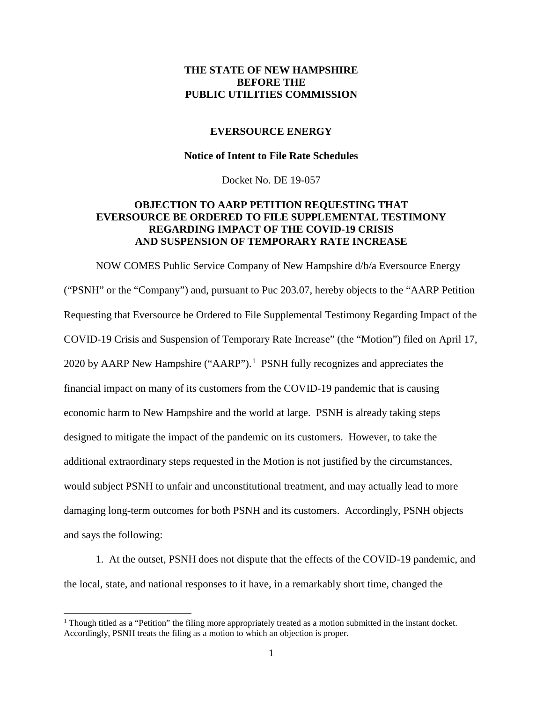### **THE STATE OF NEW HAMPSHIRE BEFORE THE PUBLIC UTILITIES COMMISSION**

#### **EVERSOURCE ENERGY**

#### **Notice of Intent to File Rate Schedules**

Docket No. DE 19-057

### **OBJECTION TO AARP PETITION REQUESTING THAT EVERSOURCE BE ORDERED TO FILE SUPPLEMENTAL TESTIMONY REGARDING IMPACT OF THE COVID-19 CRISIS AND SUSPENSION OF TEMPORARY RATE INCREASE**

NOW COMES Public Service Company of New Hampshire d/b/a Eversource Energy ("PSNH" or the "Company") and, pursuant to Puc 203.07, hereby objects to the "AARP Petition Requesting that Eversource be Ordered to File Supplemental Testimony Regarding Impact of the COVID-19 Crisis and Suspension of Temporary Rate Increase" (the "Motion") filed on April 17, 2020 by AARP New Hampshire  $("AARP").<sup>1</sup>$  $("AARP").<sup>1</sup>$  $("AARP").<sup>1</sup>$  PSNH fully recognizes and appreciates the financial impact on many of its customers from the COVID-19 pandemic that is causing economic harm to New Hampshire and the world at large. PSNH is already taking steps designed to mitigate the impact of the pandemic on its customers. However, to take the additional extraordinary steps requested in the Motion is not justified by the circumstances, would subject PSNH to unfair and unconstitutional treatment, and may actually lead to more damaging long-term outcomes for both PSNH and its customers. Accordingly, PSNH objects and says the following:

1. At the outset, PSNH does not dispute that the effects of the COVID-19 pandemic, and the local, state, and national responses to it have, in a remarkably short time, changed the

 $\overline{a}$ 

<span id="page-0-0"></span><sup>&</sup>lt;sup>1</sup> Though titled as a "Petition" the filing more appropriately treated as a motion submitted in the instant docket. Accordingly, PSNH treats the filing as a motion to which an objection is proper.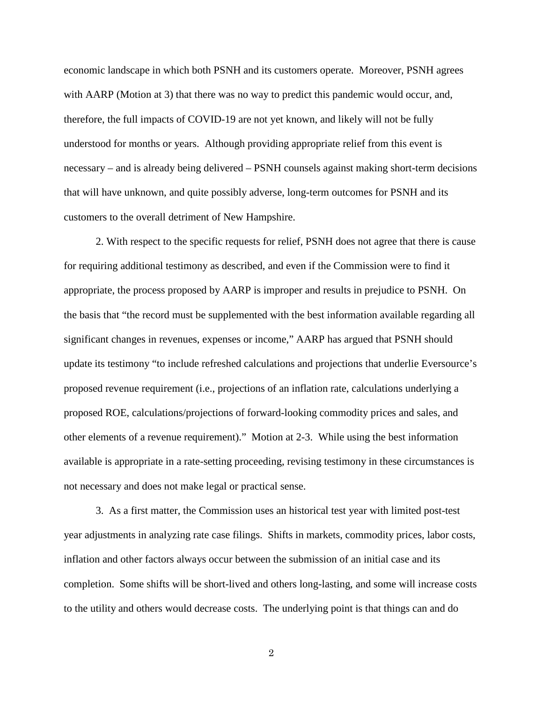economic landscape in which both PSNH and its customers operate. Moreover, PSNH agrees with AARP (Motion at 3) that there was no way to predict this pandemic would occur, and, therefore, the full impacts of COVID-19 are not yet known, and likely will not be fully understood for months or years. Although providing appropriate relief from this event is necessary – and is already being delivered – PSNH counsels against making short-term decisions that will have unknown, and quite possibly adverse, long-term outcomes for PSNH and its customers to the overall detriment of New Hampshire.

2. With respect to the specific requests for relief, PSNH does not agree that there is cause for requiring additional testimony as described, and even if the Commission were to find it appropriate, the process proposed by AARP is improper and results in prejudice to PSNH. On the basis that "the record must be supplemented with the best information available regarding all significant changes in revenues, expenses or income," AARP has argued that PSNH should update its testimony "to include refreshed calculations and projections that underlie Eversource's proposed revenue requirement (i.e., projections of an inflation rate, calculations underlying a proposed ROE, calculations/projections of forward-looking commodity prices and sales, and other elements of a revenue requirement)." Motion at 2-3. While using the best information available is appropriate in a rate-setting proceeding, revising testimony in these circumstances is not necessary and does not make legal or practical sense.

3. As a first matter, the Commission uses an historical test year with limited post-test year adjustments in analyzing rate case filings. Shifts in markets, commodity prices, labor costs, inflation and other factors always occur between the submission of an initial case and its completion. Some shifts will be short-lived and others long-lasting, and some will increase costs to the utility and others would decrease costs. The underlying point is that things can and do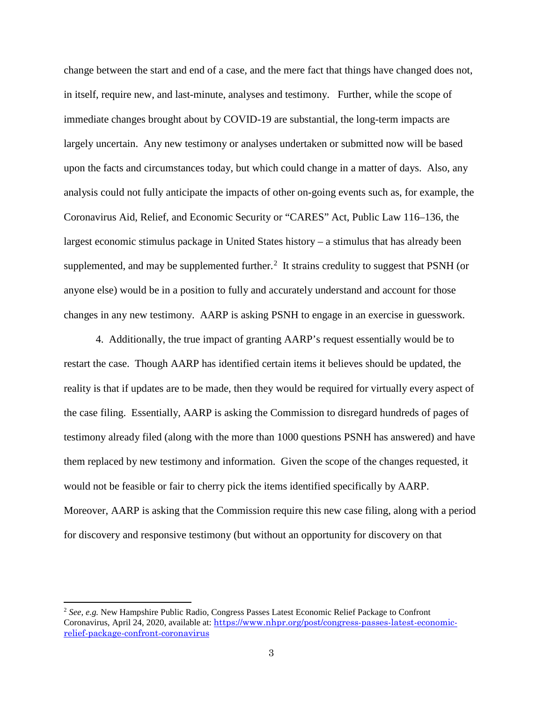change between the start and end of a case, and the mere fact that things have changed does not, in itself, require new, and last-minute, analyses and testimony. Further, while the scope of immediate changes brought about by COVID-19 are substantial, the long-term impacts are largely uncertain. Any new testimony or analyses undertaken or submitted now will be based upon the facts and circumstances today, but which could change in a matter of days. Also, any analysis could not fully anticipate the impacts of other on-going events such as, for example, the Coronavirus Aid, Relief, and Economic Security or "CARES" Act, Public Law 116–136, the largest economic stimulus package in United States history – a stimulus that has already been supplemented, and may be supplemented further. $<sup>2</sup>$  $<sup>2</sup>$  $<sup>2</sup>$  It strains credulity to suggest that PSNH (or</sup> anyone else) would be in a position to fully and accurately understand and account for those changes in any new testimony. AARP is asking PSNH to engage in an exercise in guesswork.

4. Additionally, the true impact of granting AARP's request essentially would be to restart the case. Though AARP has identified certain items it believes should be updated, the reality is that if updates are to be made, then they would be required for virtually every aspect of the case filing. Essentially, AARP is asking the Commission to disregard hundreds of pages of testimony already filed (along with the more than 1000 questions PSNH has answered) and have them replaced by new testimony and information. Given the scope of the changes requested, it would not be feasible or fair to cherry pick the items identified specifically by AARP. Moreover, AARP is asking that the Commission require this new case filing, along with a period for discovery and responsive testimony (but without an opportunity for discovery on that

<span id="page-2-0"></span><sup>2</sup> *See, e.g.* New Hampshire Public Radio, Congress Passes Latest Economic Relief Package to Confront Coronavirus, April 24, 2020, available at: [https://www.nhpr.org/post/congress-passes-latest-economic](https://www.nhpr.org/post/congress-passes-latest-economic-relief-package-confront-coronavirus)[relief-package-confront-coronavirus](https://www.nhpr.org/post/congress-passes-latest-economic-relief-package-confront-coronavirus)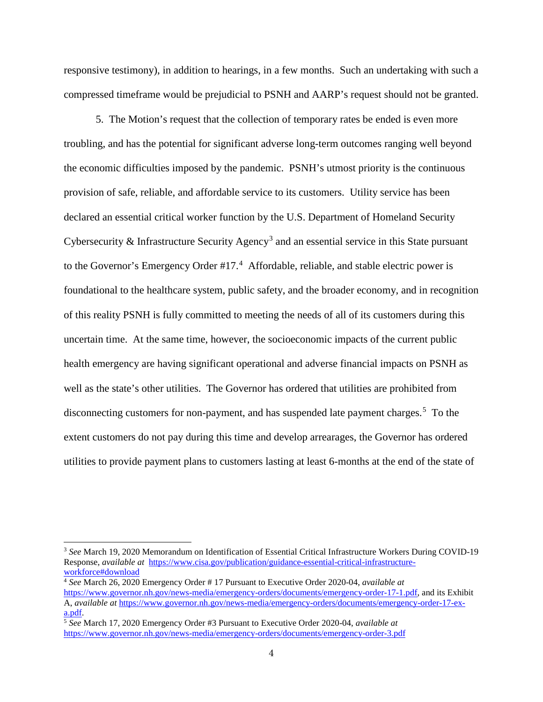responsive testimony), in addition to hearings, in a few months. Such an undertaking with such a compressed timeframe would be prejudicial to PSNH and AARP's request should not be granted.

5. The Motion's request that the collection of temporary rates be ended is even more troubling, and has the potential for significant adverse long-term outcomes ranging well beyond the economic difficulties imposed by the pandemic. PSNH's utmost priority is the continuous provision of safe, reliable, and affordable service to its customers. Utility service has been declared an essential critical worker function by the U.S. Department of Homeland Security Cybersecurity & Infrastructure Security Agency<sup>[3](#page-3-0)</sup> and an essential service in this State pursuant to the Governor's Emergency Order  $#17<sup>4</sup>$  $#17<sup>4</sup>$  $#17<sup>4</sup>$  Affordable, reliable, and stable electric power is foundational to the healthcare system, public safety, and the broader economy, and in recognition of this reality PSNH is fully committed to meeting the needs of all of its customers during this uncertain time. At the same time, however, the socioeconomic impacts of the current public health emergency are having significant operational and adverse financial impacts on PSNH as well as the state's other utilities. The Governor has ordered that utilities are prohibited from disconnecting customers for non-payment, and has suspended late payment charges.<sup>[5](#page-3-2)</sup> To the extent customers do not pay during this time and develop arrearages, the Governor has ordered utilities to provide payment plans to customers lasting at least 6-months at the end of the state of

 $\overline{a}$ 

<span id="page-3-0"></span><sup>3</sup> *See* March 19, 2020 Memorandum on Identification of Essential Critical Infrastructure Workers During COVID-19 Response, *available at* [https://www.cisa.gov/publication/guidance-essential-critical-infrastructure](https://www.cisa.gov/publication/guidance-essential-critical-infrastructure-workforce#download)[workforce#download](https://www.cisa.gov/publication/guidance-essential-critical-infrastructure-workforce#download)

<span id="page-3-1"></span><sup>4</sup> *See* March 26, 2020 Emergency Order # 17 Pursuant to Executive Order 2020-04, *available at* [https://www.governor.nh.gov/news-media/emergency-orders/documents/emergency-order-17-1.pdf,](https://www.governor.nh.gov/news-media/emergency-orders/documents/emergency-order-17-1.pdf) and its Exhibit A, *available at* [https://www.governor.nh.gov/news-media/emergency-orders/documents/emergency-order-17-ex](https://www.governor.nh.gov/news-media/emergency-orders/documents/emergency-order-17-ex-a.pdf)[a.pdf.](https://www.governor.nh.gov/news-media/emergency-orders/documents/emergency-order-17-ex-a.pdf)

<span id="page-3-2"></span><sup>5</sup> *See* March 17, 2020 Emergency Order #3 Pursuant to Executive Order 2020-04, *available at* <https://www.governor.nh.gov/news-media/emergency-orders/documents/emergency-order-3.pdf>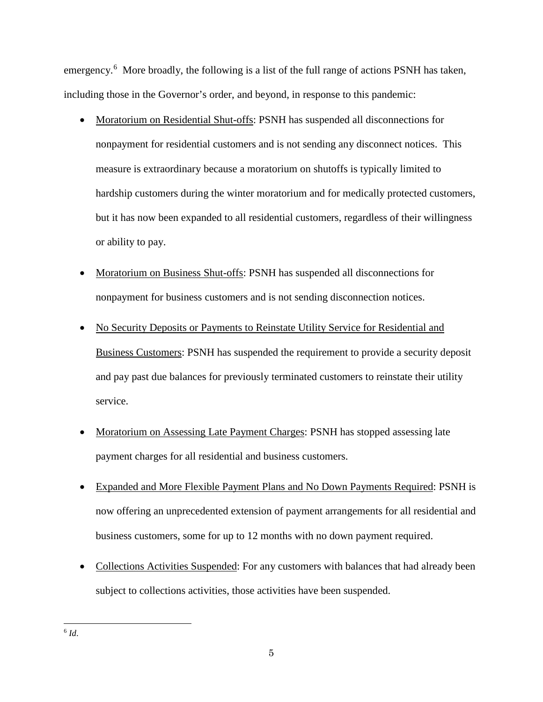emergency.<sup>[6](#page-4-0)</sup> More broadly, the following is a list of the full range of actions PSNH has taken, including those in the Governor's order, and beyond, in response to this pandemic:

- Moratorium on Residential Shut-offs: PSNH has suspended all disconnections for nonpayment for residential customers and is not sending any disconnect notices. This measure is extraordinary because a moratorium on shutoffs is typically limited to hardship customers during the winter moratorium and for medically protected customers, but it has now been expanded to all residential customers, regardless of their willingness or ability to pay.
- Moratorium on Business Shut-offs: PSNH has suspended all disconnections for nonpayment for business customers and is not sending disconnection notices.
- No Security Deposits or Payments to Reinstate Utility Service for Residential and Business Customers: PSNH has suspended the requirement to provide a security deposit and pay past due balances for previously terminated customers to reinstate their utility service.
- Moratorium on Assessing Late Payment Charges: PSNH has stopped assessing late payment charges for all residential and business customers.
- Expanded and More Flexible Payment Plans and No Down Payments Required: PSNH is now offering an unprecedented extension of payment arrangements for all residential and business customers, some for up to 12 months with no down payment required.
- Collections Activities Suspended: For any customers with balances that had already been subject to collections activities, those activities have been suspended.

<span id="page-4-0"></span><sup>6</sup> *Id*.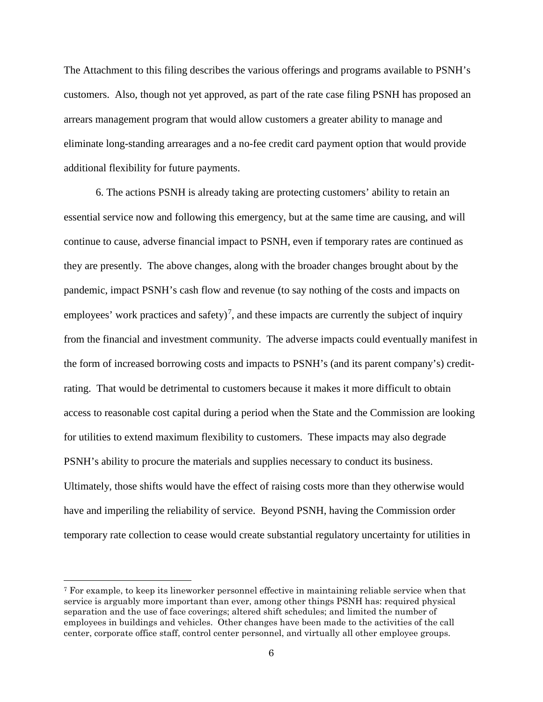The Attachment to this filing describes the various offerings and programs available to PSNH's customers. Also, though not yet approved, as part of the rate case filing PSNH has proposed an arrears management program that would allow customers a greater ability to manage and eliminate long-standing arrearages and a no-fee credit card payment option that would provide additional flexibility for future payments.

6. The actions PSNH is already taking are protecting customers' ability to retain an essential service now and following this emergency, but at the same time are causing, and will continue to cause, adverse financial impact to PSNH, even if temporary rates are continued as they are presently. The above changes, along with the broader changes brought about by the pandemic, impact PSNH's cash flow and revenue (to say nothing of the costs and impacts on employees' work practices and safety)<sup>[7](#page-5-0)</sup>, and these impacts are currently the subject of inquiry from the financial and investment community. The adverse impacts could eventually manifest in the form of increased borrowing costs and impacts to PSNH's (and its parent company's) creditrating. That would be detrimental to customers because it makes it more difficult to obtain access to reasonable cost capital during a period when the State and the Commission are looking for utilities to extend maximum flexibility to customers. These impacts may also degrade PSNH's ability to procure the materials and supplies necessary to conduct its business. Ultimately, those shifts would have the effect of raising costs more than they otherwise would have and imperiling the reliability of service. Beyond PSNH, having the Commission order temporary rate collection to cease would create substantial regulatory uncertainty for utilities in

<span id="page-5-0"></span> <sup>7</sup> For example, to keep its lineworker personnel effective in maintaining reliable service when that service is arguably more important than ever, among other things PSNH has: required physical separation and the use of face coverings; altered shift schedules; and limited the number of employees in buildings and vehicles. Other changes have been made to the activities of the call center, corporate office staff, control center personnel, and virtually all other employee groups.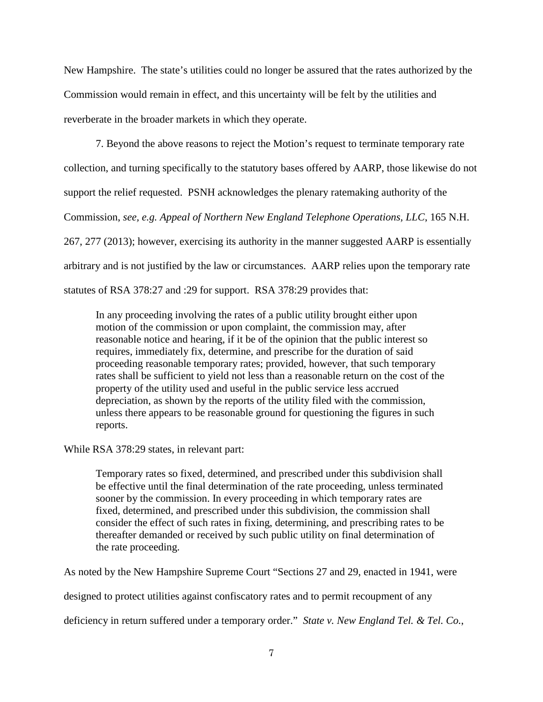New Hampshire. The state's utilities could no longer be assured that the rates authorized by the Commission would remain in effect, and this uncertainty will be felt by the utilities and reverberate in the broader markets in which they operate.

7. Beyond the above reasons to reject the Motion's request to terminate temporary rate collection, and turning specifically to the statutory bases offered by AARP, those likewise do not support the relief requested. PSNH acknowledges the plenary ratemaking authority of the Commission, *see, e.g. Appeal of Northern New England Telephone Operations, LLC*, 165 N.H. 267, 277 (2013); however, exercising its authority in the manner suggested AARP is essentially arbitrary and is not justified by the law or circumstances. AARP relies upon the temporary rate statutes of RSA 378:27 and :29 for support. RSA 378:29 provides that:

In any proceeding involving the rates of a public utility brought either upon motion of the commission or upon complaint, the commission may, after reasonable notice and hearing, if it be of the opinion that the public interest so requires, immediately fix, determine, and prescribe for the duration of said proceeding reasonable temporary rates; provided, however, that such temporary rates shall be sufficient to yield not less than a reasonable return on the cost of the property of the utility used and useful in the public service less accrued depreciation, as shown by the reports of the utility filed with the commission, unless there appears to be reasonable ground for questioning the figures in such reports.

While RSA 378:29 states, in relevant part:

Temporary rates so fixed, determined, and prescribed under this subdivision shall be effective until the final determination of the rate proceeding, unless terminated sooner by the commission. In every proceeding in which temporary rates are fixed, determined, and prescribed under this subdivision, the commission shall consider the effect of such rates in fixing, determining, and prescribing rates to be thereafter demanded or received by such public utility on final determination of the rate proceeding.

As noted by the New Hampshire Supreme Court "Sections 27 and 29, enacted in 1941, were

designed to protect utilities against confiscatory rates and to permit recoupment of any

deficiency in return suffered under a temporary order." *State v. New England Tel. & Tel. Co.*,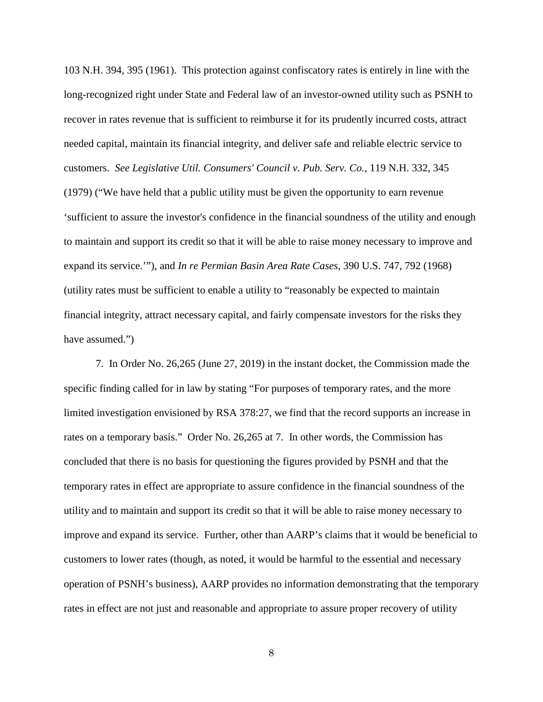103 N.H. 394, 395 (1961). This protection against confiscatory rates is entirely in line with the long-recognized right under State and Federal law of an investor-owned utility such as PSNH to recover in rates revenue that is sufficient to reimburse it for its prudently incurred costs, attract needed capital, maintain its financial integrity, and deliver safe and reliable electric service to customers. *See Legislative Util. Consumers' Council v. Pub. Serv. Co.*, 119 N.H. 332, 345 (1979) ("We have held that a public utility must be given the opportunity to earn revenue 'sufficient to assure the investor's confidence in the financial soundness of the utility and enough to maintain and support its credit so that it will be able to raise money necessary to improve and expand its service.'"), and *In re Permian Basin Area Rate Cases*, 390 U.S. 747, 792 (1968) (utility rates must be sufficient to enable a utility to "reasonably be expected to maintain financial integrity, attract necessary capital, and fairly compensate investors for the risks they have assumed.")

7. In Order No. 26,265 (June 27, 2019) in the instant docket, the Commission made the specific finding called for in law by stating "For purposes of temporary rates, and the more limited investigation envisioned by RSA 378:27, we find that the record supports an increase in rates on a temporary basis." Order No. 26,265 at 7. In other words, the Commission has concluded that there is no basis for questioning the figures provided by PSNH and that the temporary rates in effect are appropriate to assure confidence in the financial soundness of the utility and to maintain and support its credit so that it will be able to raise money necessary to improve and expand its service. Further, other than AARP's claims that it would be beneficial to customers to lower rates (though, as noted, it would be harmful to the essential and necessary operation of PSNH's business), AARP provides no information demonstrating that the temporary rates in effect are not just and reasonable and appropriate to assure proper recovery of utility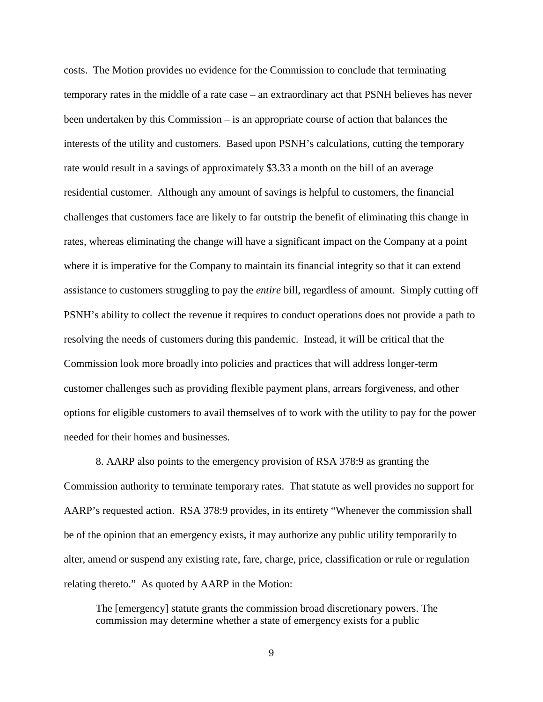costs. The Motion provides no evidence for the Commission to conclude that terminating temporary rates in the middle of a rate case – an extraordinary act that PSNH believes has never been undertaken by this Commission – is an appropriate course of action that balances the interests of the utility and customers. Based upon PSNH's calculations, cutting the temporary rate would result in a savings of approximately \$3.33 a month on the bill of an average residential customer. Although any amount of savings is helpful to customers, the financial challenges that customers face are likely to far outstrip the benefit of eliminating this change in rates, whereas eliminating the change will have a significant impact on the Company at a point where it is imperative for the Company to maintain its financial integrity so that it can extend assistance to customers struggling to pay the *entire* bill, regardless of amount. Simply cutting off PSNH's ability to collect the revenue it requires to conduct operations does not provide a path to resolving the needs of customers during this pandemic. Instead, it will be critical that the Commission look more broadly into policies and practices that will address longer-term customer challenges such as providing flexible payment plans, arrears forgiveness, and other options for eligible customers to avail themselves of to work with the utility to pay for the power needed for their homes and businesses.

8. AARP also points to the emergency provision of RSA 378:9 as granting the Commission authority to terminate temporary rates. That statute as well provides no support for AARP's requested action. RSA 378:9 provides, in its entirety "Whenever the commission shall be of the opinion that an emergency exists, it may authorize any public utility temporarily to alter, amend or suspend any existing rate, fare, charge, price, classification or rule or regulation relating thereto." As quoted by AARP in the Motion:

The [emergency] statute grants the commission broad discretionary powers. The commission may determine whether a state of emergency exists for a public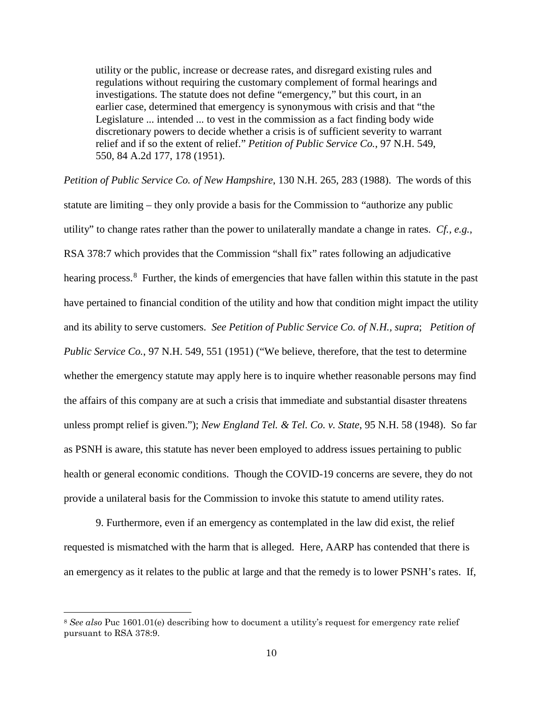utility or the public, increase or decrease rates, and disregard existing rules and regulations without requiring the customary complement of formal hearings and investigations. The statute does not define "emergency," but this court, in an earlier case, determined that emergency is synonymous with crisis and that "the Legislature ... intended ... to vest in the commission as a fact finding body wide discretionary powers to decide whether a crisis is of sufficient severity to warrant relief and if so the extent of relief." *Petition of Public Service Co.*, 97 N.H. 549, 550, 84 A.2d 177, 178 (1951).

*Petition of Public Service Co. of New Hampshire*, 130 N.H. 265, 283 (1988). The words of this statute are limiting – they only provide a basis for the Commission to "authorize any public utility" to change rates rather than the power to unilaterally mandate a change in rates. *Cf., e.g.*, RSA 378:7 which provides that the Commission "shall fix" rates following an adjudicative hearing process.<sup>[8](#page-9-0)</sup> Further, the kinds of emergencies that have fallen within this statute in the past have pertained to financial condition of the utility and how that condition might impact the utility and its ability to serve customers. *See Petition of Public Service Co. of N.H., supra*; *Petition of Public Service Co.*, 97 N.H. 549, 551 (1951) ("We believe, therefore, that the test to determine whether the emergency statute may apply here is to inquire whether reasonable persons may find the affairs of this company are at such a crisis that immediate and substantial disaster threatens unless prompt relief is given."); *New England Tel. & Tel. Co. v. State*, 95 N.H. 58 (1948). So far as PSNH is aware, this statute has never been employed to address issues pertaining to public health or general economic conditions. Though the COVID-19 concerns are severe, they do not provide a unilateral basis for the Commission to invoke this statute to amend utility rates.

9. Furthermore, even if an emergency as contemplated in the law did exist, the relief requested is mismatched with the harm that is alleged. Here, AARP has contended that there is an emergency as it relates to the public at large and that the remedy is to lower PSNH's rates. If,

<span id="page-9-0"></span> <sup>8</sup> *See also* Puc 1601.01(e) describing how to document a utility's request for emergency rate relief pursuant to RSA 378:9.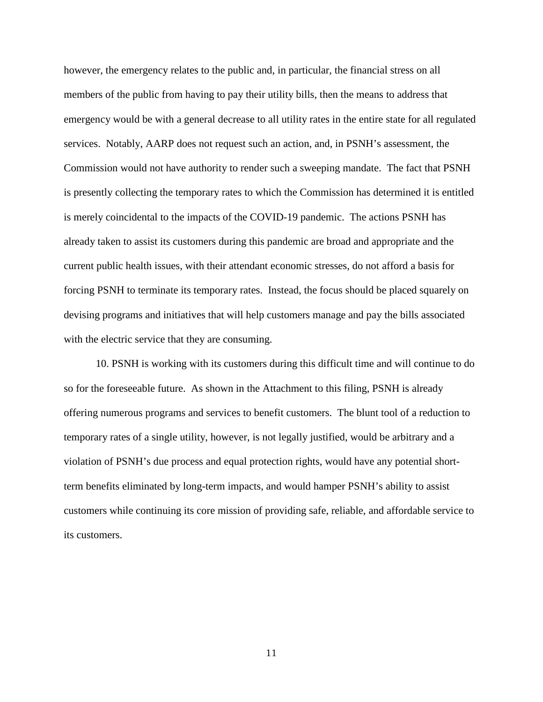however, the emergency relates to the public and, in particular, the financial stress on all members of the public from having to pay their utility bills, then the means to address that emergency would be with a general decrease to all utility rates in the entire state for all regulated services. Notably, AARP does not request such an action, and, in PSNH's assessment, the Commission would not have authority to render such a sweeping mandate. The fact that PSNH is presently collecting the temporary rates to which the Commission has determined it is entitled is merely coincidental to the impacts of the COVID-19 pandemic. The actions PSNH has already taken to assist its customers during this pandemic are broad and appropriate and the current public health issues, with their attendant economic stresses, do not afford a basis for forcing PSNH to terminate its temporary rates. Instead, the focus should be placed squarely on devising programs and initiatives that will help customers manage and pay the bills associated with the electric service that they are consuming.

10. PSNH is working with its customers during this difficult time and will continue to do so for the foreseeable future. As shown in the Attachment to this filing, PSNH is already offering numerous programs and services to benefit customers. The blunt tool of a reduction to temporary rates of a single utility, however, is not legally justified, would be arbitrary and a violation of PSNH's due process and equal protection rights, would have any potential shortterm benefits eliminated by long-term impacts, and would hamper PSNH's ability to assist customers while continuing its core mission of providing safe, reliable, and affordable service to its customers.